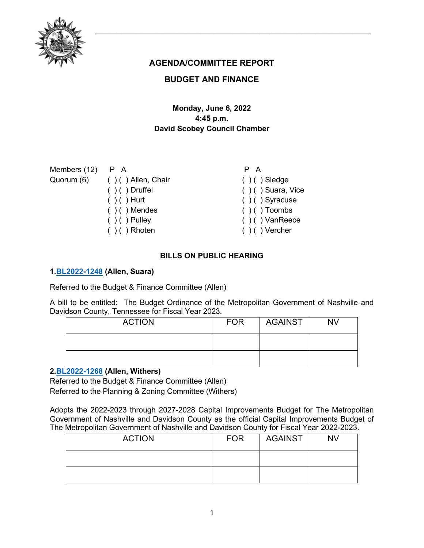

# **AGENDA/COMMITTEE REPORT**

# **BUDGET AND FINANCE**

# **Monday, June 6, 2022 4:45 p.m. David Scobey Council Chamber**

| Members $(12)$ P A |                               | P A                   |
|--------------------|-------------------------------|-----------------------|
|                    | Quorum (6) () () Allen, Chair | $( ) ( )$ Sledge      |
|                    | $( ) ( )$ Druffel             | $( )$ ( ) Suara, Vice |
|                    | $( ) ( )$ Hurt                | $( ) ( )$ Syracuse    |
|                    | $( ) ( )$ Mendes              | $( ) ( )$ Toombs      |
|                    | $( ) ( )$ Pulley              | $( )$ ( ) VanReece    |
|                    | $( ) ( )$ Rhoten              | $( )$ ( ) Vercher     |

## **BILLS ON PUBLIC HEARING**

#### **1[.BL2022-1248](http://nashville.legistar.com/gateway.aspx?m=l&id=/matter.aspx?key=14439) (Allen, Suara)**

Referred to the Budget & Finance Committee (Allen)

A bill to be entitled: The Budget Ordinance of the Metropolitan Government of Nashville and Davidson County, Tennessee for Fiscal Year 2023.

| <b>ACTION</b> | <b>FOR</b> | AGAINST | <b>NV</b> |
|---------------|------------|---------|-----------|
|               |            |         |           |
|               |            |         |           |

# **2[.BL2022-1268](http://nashville.legistar.com/gateway.aspx?m=l&id=/matter.aspx?key=14516) (Allen, Withers)**

Referred to the Budget & Finance Committee (Allen) Referred to the Planning & Zoning Committee (Withers)

Adopts the 2022-2023 through 2027-2028 Capital Improvements Budget for The Metropolitan Government of Nashville and Davidson County as the official Capital Improvements Budget of The Metropolitan Government of Nashville and Davidson County for Fiscal Year 2022-2023.

| <b>ACTION</b> | <b>FOR</b> | AGAINST | <b>NV</b> |
|---------------|------------|---------|-----------|
|               |            |         |           |
|               |            |         |           |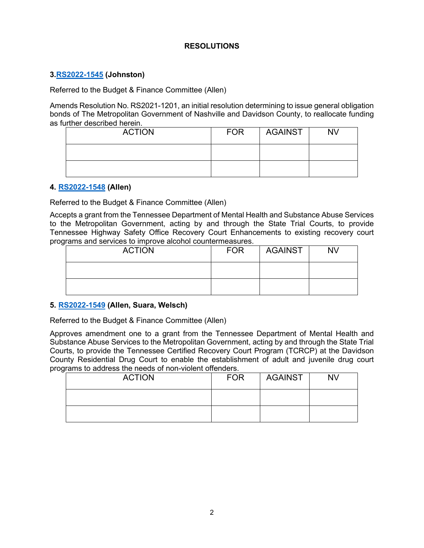## **RESOLUTIONS**

## **3[.RS2022-1545](http://nashville.legistar.com/gateway.aspx?m=l&id=/matter.aspx?key=14518) (Johnston)**

Referred to the Budget & Finance Committee (Allen)

Amends Resolution No. RS2021-1201, an initial resolution determining to issue general obligation bonds of The Metropolitan Government of Nashville and Davidson County, to reallocate funding as further described herein.

| <b>ACTION</b> | <b>FOR</b> | <b>AGAINST</b> | <b>NV</b> |
|---------------|------------|----------------|-----------|
|               |            |                |           |
|               |            |                |           |

#### **4. [RS2022-1548](http://nashville.legistar.com/gateway.aspx?m=l&id=/matter.aspx?key=14594) (Allen)**

Referred to the Budget & Finance Committee (Allen)

Accepts a grant from the Tennessee Department of Mental Health and Substance Abuse Services to the Metropolitan Government, acting by and through the State Trial Courts, to provide Tennessee Highway Safety Office Recovery Court Enhancements to existing recovery court programs and services to improve alcohol countermeasures.

| <b>ACTION</b> | <b>FOR</b> | <b>AGAINST</b> | <b>NV</b> |
|---------------|------------|----------------|-----------|
|               |            |                |           |
|               |            |                |           |

## **5. [RS2022-1549](http://nashville.legistar.com/gateway.aspx?m=l&id=/matter.aspx?key=14551) (Allen, Suara, Welsch)**

Referred to the Budget & Finance Committee (Allen)

Approves amendment one to a grant from the Tennessee Department of Mental Health and Substance Abuse Services to the Metropolitan Government, acting by and through the State Trial Courts, to provide the Tennessee Certified Recovery Court Program (TCRCP) at the Davidson County Residential Drug Court to enable the establishment of adult and juvenile drug court programs to address the needs of non-violent offenders.

| <b>ACTION</b> | <b>FOR</b> | <b>AGAINST</b> | <b>NV</b> |
|---------------|------------|----------------|-----------|
|               |            |                |           |
|               |            |                |           |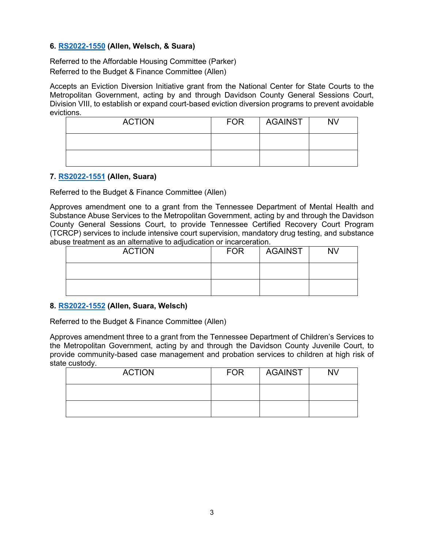## **6. [RS2022-1550](http://nashville.legistar.com/gateway.aspx?m=l&id=/matter.aspx?key=14592) (Allen, Welsch, & Suara)**

Referred to the Affordable Housing Committee (Parker) Referred to the Budget & Finance Committee (Allen)

Accepts an Eviction Diversion Initiative grant from the National Center for State Courts to the Metropolitan Government, acting by and through Davidson County General Sessions Court, Division VIII, to establish or expand court-based eviction diversion programs to prevent avoidable evictions.

| <b>ACTION</b> | <b>FOR</b> | <b>AGAINST</b> | <b>NV</b> |
|---------------|------------|----------------|-----------|
|               |            |                |           |
|               |            |                |           |

## **7. [RS2022-1551](http://nashville.legistar.com/gateway.aspx?m=l&id=/matter.aspx?key=14590) (Allen, Suara)**

Referred to the Budget & Finance Committee (Allen)

Approves amendment one to a grant from the Tennessee Department of Mental Health and Substance Abuse Services to the Metropolitan Government, acting by and through the Davidson County General Sessions Court, to provide Tennessee Certified Recovery Court Program (TCRCP) services to include intensive court supervision, mandatory drug testing, and substance abuse treatment as an alternative to adjudication or incarceration.

| <b>ACTION</b> | <b>FOR</b> | AGAINST | <b>NV</b> |
|---------------|------------|---------|-----------|
|               |            |         |           |
|               |            |         |           |

## **8. [RS2022-1552](http://nashville.legistar.com/gateway.aspx?m=l&id=/matter.aspx?key=14611) (Allen, Suara, Welsch)**

Referred to the Budget & Finance Committee (Allen)

Approves amendment three to a grant from the Tennessee Department of Children's Services to the Metropolitan Government, acting by and through the Davidson County Juvenile Court, to provide community-based case management and probation services to children at high risk of state custody.

| <b>ACTION</b> | <b>FOR</b> | AGAINST | <b>NV</b> |
|---------------|------------|---------|-----------|
|               |            |         |           |
|               |            |         |           |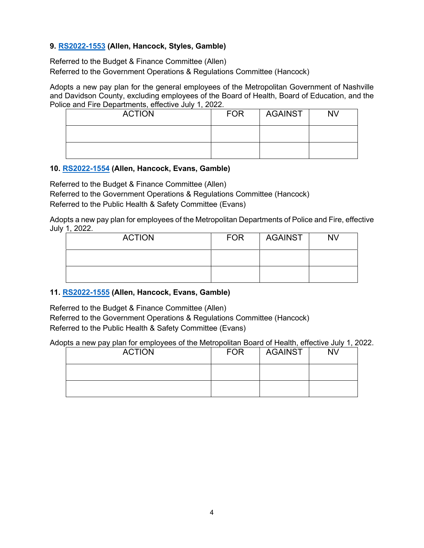## **9. [RS2022-1553](http://nashville.legistar.com/gateway.aspx?m=l&id=/matter.aspx?key=14587) (Allen, Hancock, Styles, Gamble)**

Referred to the Budget & Finance Committee (Allen) Referred to the Government Operations & Regulations Committee (Hancock)

Adopts a new pay plan for the general employees of the Metropolitan Government of Nashville and Davidson County, excluding employees of the Board of Health, Board of Education, and the Police and Fire Departments, effective July 1, 2022.

| <b>ACTION</b> | <b>FOR</b> | <b>AGAINST</b> | <b>NV</b> |
|---------------|------------|----------------|-----------|
|               |            |                |           |
|               |            |                |           |

## **10. [RS2022-1554](http://nashville.legistar.com/gateway.aspx?m=l&id=/matter.aspx?key=14588) (Allen, Hancock, Evans, Gamble)**

Referred to the Budget & Finance Committee (Allen) Referred to the Government Operations & Regulations Committee (Hancock) Referred to the Public Health & Safety Committee (Evans)

Adopts a new pay plan for employees of the Metropolitan Departments of Police and Fire, effective July 1, 2022.

| <b>ACTION</b> | <b>FOR</b> | <b>AGAINST</b> | <b>NV</b> |
|---------------|------------|----------------|-----------|
|               |            |                |           |
|               |            |                |           |

# **11. [RS2022-1555](http://nashville.legistar.com/gateway.aspx?m=l&id=/matter.aspx?key=14589) (Allen, Hancock, Evans, Gamble)**

Referred to the Budget & Finance Committee (Allen) Referred to the Government Operations & Regulations Committee (Hancock) Referred to the Public Health & Safety Committee (Evans)

Adopts a new pay plan for employees of the Metropolitan Board of Health, effective July 1, 2022.

| <b>ACTION</b> | <b>FOR</b> | <b>AGAINST</b> | ΝV |
|---------------|------------|----------------|----|
|               |            |                |    |
|               |            |                |    |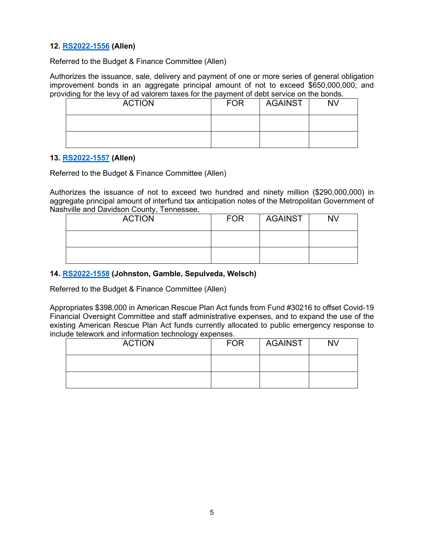## **12. [RS2022-1556](http://nashville.legistar.com/gateway.aspx?m=l&id=/matter.aspx?key=14606) (Allen)**

Referred to the Budget & Finance Committee (Allen)

Authorizes the issuance, sale, delivery and payment of one or more series of general obligation improvement bonds in an aggregate principal amount of not to exceed \$650,000,000; and providing for the levy of ad valorem taxes for the payment of debt service on the bonds.

| <b>ACTION</b> | <b>FOR</b> | <b>AGAINST</b> | <b>NV</b> |
|---------------|------------|----------------|-----------|
|               |            |                |           |
|               |            |                |           |

#### **13. [RS2022-1557](http://nashville.legistar.com/gateway.aspx?m=l&id=/matter.aspx?key=14599) (Allen)**

Referred to the Budget & Finance Committee (Allen)

Authorizes the issuance of not to exceed two hundred and ninety million (\$290,000,000) in aggregate principal amount of interfund tax anticipation notes of the Metropolitan Government of Nashville and Davidson County, Tennessee.

| <b>ACTION</b> | <b>FOR</b> | AGAINST | <b>NV</b> |
|---------------|------------|---------|-----------|
|               |            |         |           |
|               |            |         |           |

## **14. [RS2022-1558](http://nashville.legistar.com/gateway.aspx?m=l&id=/matter.aspx?key=14579) (Johnston, Gamble, Sepulveda, Welsch)**

Referred to the Budget & Finance Committee (Allen)

Appropriates \$398,000 in American Rescue Plan Act funds from Fund #30216 to offset Covid-19 Financial Oversight Committee and staff administrative expenses, and to expand the use of the existing American Rescue Plan Act funds currently allocated to public emergency response to include telework and information technology expenses.

| ີ<br><b>ACTION</b> | <b>FOR</b> | <b>AGAINST</b> | <b>NV</b> |
|--------------------|------------|----------------|-----------|
|                    |            |                |           |
|                    |            |                |           |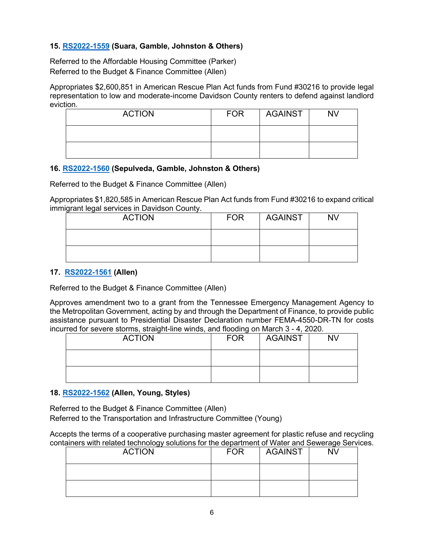## **15. [RS2022-1559](http://nashville.legistar.com/gateway.aspx?m=l&id=/matter.aspx?key=14578) (Suara, Gamble, Johnston & Others)**

Referred to the Affordable Housing Committee (Parker) Referred to the Budget & Finance Committee (Allen)

Appropriates \$2,600,851 in American Rescue Plan Act funds from Fund #30216 to provide legal representation to low and moderate-income Davidson County renters to defend against landlord eviction.

| <b>ACTION</b> | <b>FOR</b> | AGAINST | <b>NV</b> |
|---------------|------------|---------|-----------|
|               |            |         |           |
|               |            |         |           |

## **16. [RS2022-1560](http://nashville.legistar.com/gateway.aspx?m=l&id=/matter.aspx?key=14597) (Sepulveda, Gamble, Johnston & Others)**

Referred to the Budget & Finance Committee (Allen)

Appropriates \$1,820,585 in American Rescue Plan Act funds from Fund #30216 to expand critical immigrant legal services in Davidson County.

| <b>ACTION</b> | <b>FOR</b> | <b>AGAINST</b> | <b>NV</b> |
|---------------|------------|----------------|-----------|
|               |            |                |           |
|               |            |                |           |

#### **17. [RS2022-1561](http://nashville.legistar.com/gateway.aspx?m=l&id=/matter.aspx?key=14593) (Allen)**

Referred to the Budget & Finance Committee (Allen)

Approves amendment two to a grant from the Tennessee Emergency Management Agency to the Metropolitan Government, acting by and through the Department of Finance, to provide public assistance pursuant to Presidential Disaster Declaration number FEMA-4550-DR-TN for costs incurred for severe storms, straight-line winds, and flooding on March 3 - 4, 2020.

| <b>ACTION</b> | <b>FOR</b> | <b>AGAINST</b> | <b>NV</b> |
|---------------|------------|----------------|-----------|
|               |            |                |           |
|               |            |                |           |

## **18. [RS2022-1562](http://nashville.legistar.com/gateway.aspx?m=l&id=/matter.aspx?key=14577) (Allen, Young, Styles)**

Referred to the Budget & Finance Committee (Allen) Referred to the Transportation and Infrastructure Committee (Young)

Accepts the terms of a cooperative purchasing master agreement for plastic refuse and recycling containers with related technology solutions for the department of Water and Sewerage Services.

| <b>ACTION</b> | <b>FOR</b> | <b>AGAINST</b> | <b>NV</b> |
|---------------|------------|----------------|-----------|
|               |            |                |           |
|               |            |                |           |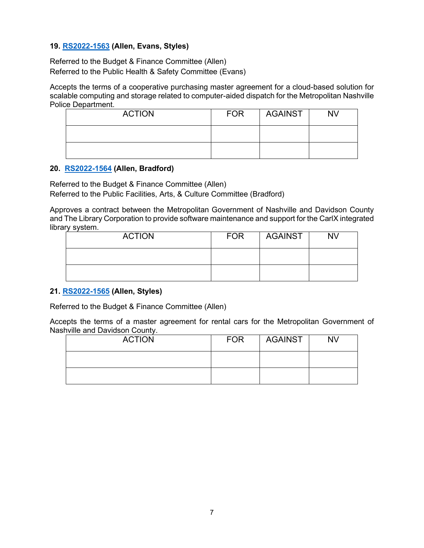## **19. [RS2022-1563](http://nashville.legistar.com/gateway.aspx?m=l&id=/matter.aspx?key=14600) (Allen, Evans, Styles)**

Referred to the Budget & Finance Committee (Allen) Referred to the Public Health & Safety Committee (Evans)

Accepts the terms of a cooperative purchasing master agreement for a cloud-based solution for scalable computing and storage related to computer-aided dispatch for the Metropolitan Nashville Police Department.

| <b>ACTION</b> | <b>FOR</b> | AGAINST | <b>NV</b> |
|---------------|------------|---------|-----------|
|               |            |         |           |
|               |            |         |           |

#### **20. [RS2022-1564](http://nashville.legistar.com/gateway.aspx?m=l&id=/matter.aspx?key=14582) (Allen, Bradford)**

Referred to the Budget & Finance Committee (Allen)

Referred to the Public Facilities, Arts, & Culture Committee (Bradford)

Approves a contract between the Metropolitan Government of Nashville and Davidson County and The Library Corporation to provide software maintenance and support for the CarlX integrated library system.

| <b>ACTION</b> | <b>FOR</b> | <b>AGAINST</b> | <b>NV</b> |
|---------------|------------|----------------|-----------|
|               |            |                |           |
|               |            |                |           |

## **21. [RS2022-1565](http://nashville.legistar.com/gateway.aspx?m=l&id=/matter.aspx?key=14605) (Allen, Styles)**

Referred to the Budget & Finance Committee (Allen)

Accepts the terms of a master agreement for rental cars for the Metropolitan Government of Nashville and Davidson County.

| <b>ACTION</b> | <b>FOR</b> | AGAINST | <b>NV</b> |
|---------------|------------|---------|-----------|
|               |            |         |           |
|               |            |         |           |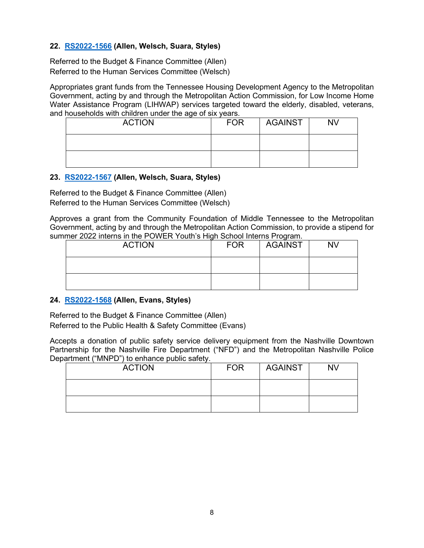## **22. [RS2022-1566](http://nashville.legistar.com/gateway.aspx?m=l&id=/matter.aspx?key=14612) (Allen, Welsch, Suara, Styles)**

Referred to the Budget & Finance Committee (Allen) Referred to the Human Services Committee (Welsch)

Appropriates grant funds from the Tennessee Housing Development Agency to the Metropolitan Government, acting by and through the Metropolitan Action Commission, for Low Income Home Water Assistance Program (LIHWAP) services targeted toward the elderly, disabled, veterans, and households with children under the age of six years.

| <b>ACTION</b> | <b>FOR</b> | <b>AGAINST</b> | <b>NV</b> |
|---------------|------------|----------------|-----------|
|               |            |                |           |
|               |            |                |           |

## **23. [RS2022-1567](http://nashville.legistar.com/gateway.aspx?m=l&id=/matter.aspx?key=14610) (Allen, Welsch, Suara, Styles)**

Referred to the Budget & Finance Committee (Allen) Referred to the Human Services Committee (Welsch)

Approves a grant from the Community Foundation of Middle Tennessee to the Metropolitan Government, acting by and through the Metropolitan Action Commission, to provide a stipend for summer 2022 interns in the POWER Youth's High School Interns Program.

| <b>ACTION</b> | <b>FOR</b> | <b>AGAINST</b> | <b>NV</b> |
|---------------|------------|----------------|-----------|
|               |            |                |           |
|               |            |                |           |

## **24. [RS2022-1568](http://nashville.legistar.com/gateway.aspx?m=l&id=/matter.aspx?key=14586) (Allen, Evans, Styles)**

Referred to the Budget & Finance Committee (Allen) Referred to the Public Health & Safety Committee (Evans)

Accepts a donation of public safety service delivery equipment from the Nashville Downtown Partnership for the Nashville Fire Department ("NFD") and the Metropolitan Nashville Police Department ("MNPD") to enhance public safety.

| <b>ACTION</b> | <b>FOR</b> | <b>AGAINST</b> | <b>NV</b> |
|---------------|------------|----------------|-----------|
|               |            |                |           |
|               |            |                |           |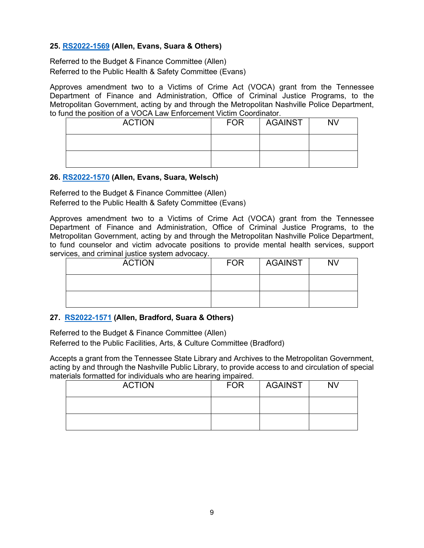## **25. [RS2022-1569](http://nashville.legistar.com/gateway.aspx?m=l&id=/matter.aspx?key=14595) (Allen, Evans, Suara & Others)**

Referred to the Budget & Finance Committee (Allen) Referred to the Public Health & Safety Committee (Evans)

Approves amendment two to a Victims of Crime Act (VOCA) grant from the Tennessee Department of Finance and Administration, Office of Criminal Justice Programs, to the Metropolitan Government, acting by and through the Metropolitan Nashville Police Department, to fund the position of a VOCA Law Enforcement Victim Coordinator.

| <b>ACTION</b> | <b>FOR</b> | <b>AGAINST</b> | <b>NV</b> |
|---------------|------------|----------------|-----------|
|               |            |                |           |
|               |            |                |           |

#### **26. [RS2022-1570](http://nashville.legistar.com/gateway.aspx?m=l&id=/matter.aspx?key=14596) (Allen, Evans, Suara, Welsch)**

Referred to the Budget & Finance Committee (Allen) Referred to the Public Health & Safety Committee (Evans)

Approves amendment two to a Victims of Crime Act (VOCA) grant from the Tennessee Department of Finance and Administration, Office of Criminal Justice Programs, to the Metropolitan Government, acting by and through the Metropolitan Nashville Police Department, to fund counselor and victim advocate positions to provide mental health services, support services, and criminal justice system advocacy.

| <b>ACTION</b> | <b>FOR</b> | <b>AGAINST</b> | <b>NV</b> |
|---------------|------------|----------------|-----------|
|               |            |                |           |
|               |            |                |           |

## **27. [RS2022-1571](http://nashville.legistar.com/gateway.aspx?m=l&id=/matter.aspx?key=14542) (Allen, Bradford, Suara & Others)**

Referred to the Budget & Finance Committee (Allen) Referred to the Public Facilities, Arts, & Culture Committee (Bradford)

Accepts a grant from the Tennessee State Library and Archives to the Metropolitan Government, acting by and through the Nashville Public Library, to provide access to and circulation of special materials formatted for individuals who are hearing impaired.

| <b>ACTION</b> | <b>FOR</b> | <b>AGAINST</b> | <b>NV</b> |
|---------------|------------|----------------|-----------|
|               |            |                |           |
|               |            |                |           |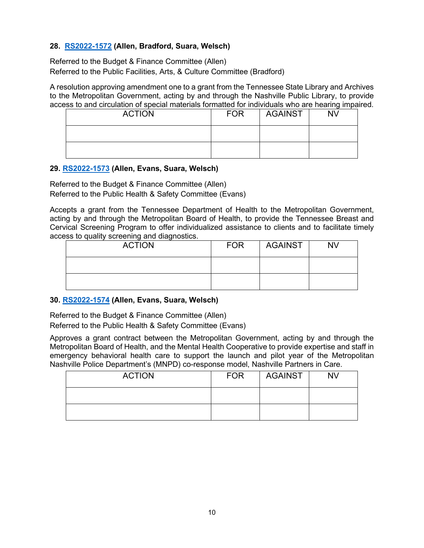## **28. [RS2022-1572](http://nashville.legistar.com/gateway.aspx?m=l&id=/matter.aspx?key=14543) (Allen, Bradford, Suara, Welsch)**

Referred to the Budget & Finance Committee (Allen) Referred to the Public Facilities, Arts, & Culture Committee (Bradford)

A resolution approving amendment one to a grant from the Tennessee State Library and Archives to the Metropolitan Government, acting by and through the Nashville Public Library, to provide access to and circulation of special materials formatted for individuals who are hearing impaired.

| <b>ACTION</b> | <b>FOR</b> | AGAINST | <b>NV</b> |
|---------------|------------|---------|-----------|
|               |            |         |           |
|               |            |         |           |

#### **29. [RS2022-1573](http://nashville.legistar.com/gateway.aspx?m=l&id=/matter.aspx?key=14591) (Allen, Evans, Suara, Welsch)**

Referred to the Budget & Finance Committee (Allen) Referred to the Public Health & Safety Committee (Evans)

Accepts a grant from the Tennessee Department of Health to the Metropolitan Government, acting by and through the Metropolitan Board of Health, to provide the Tennessee Breast and Cervical Screening Program to offer individualized assistance to clients and to facilitate timely access to quality screening and diagnostics.

| <b>ACTION</b> | <b>FOR</b> | <b>AGAINST</b> | <b>NV</b> |
|---------------|------------|----------------|-----------|
|               |            |                |           |
|               |            |                |           |

## **30. [RS2022-1574](http://nashville.legistar.com/gateway.aspx?m=l&id=/matter.aspx?key=14552) (Allen, Evans, Suara, Welsch)**

Referred to the Budget & Finance Committee (Allen) Referred to the Public Health & Safety Committee (Evans)

Approves a grant contract between the Metropolitan Government, acting by and through the Metropolitan Board of Health, and the Mental Health Cooperative to provide expertise and staff in emergency behavioral health care to support the launch and pilot year of the Metropolitan Nashville Police Department's (MNPD) co-response model, Nashville Partners in Care.

| <b>ACTION</b> | <b>FOR</b> | AGAINST | <b>NV</b> |
|---------------|------------|---------|-----------|
|               |            |         |           |
|               |            |         |           |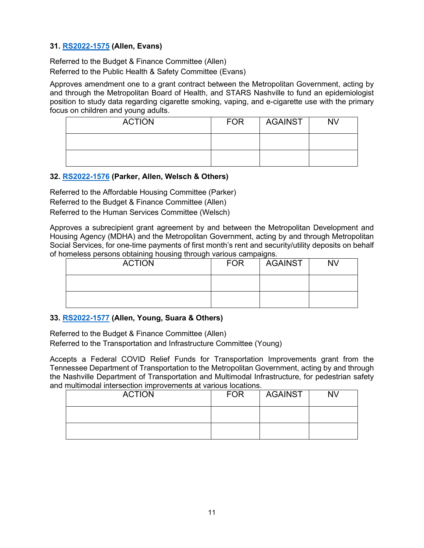## **31. [RS2022-1575](http://nashville.legistar.com/gateway.aspx?m=l&id=/matter.aspx?key=14613) (Allen, Evans)**

Referred to the Budget & Finance Committee (Allen) Referred to the Public Health & Safety Committee (Evans)

Approves amendment one to a grant contract between the Metropolitan Government, acting by and through the Metropolitan Board of Health, and STARS Nashville to fund an epidemiologist position to study data regarding cigarette smoking, vaping, and e-cigarette use with the primary focus on children and young adults.

| <b>ACTION</b> | <b>FOR</b> | AGAINST | <b>NV</b> |
|---------------|------------|---------|-----------|
|               |            |         |           |
|               |            |         |           |

## **32. [RS2022-1576](http://nashville.legistar.com/gateway.aspx?m=l&id=/matter.aspx?key=14584) (Parker, Allen, Welsch & Others)**

Referred to the Affordable Housing Committee (Parker) Referred to the Budget & Finance Committee (Allen) Referred to the Human Services Committee (Welsch)

Approves a subrecipient grant agreement by and between the Metropolitan Development and Housing Agency (MDHA) and the Metropolitan Government, acting by and through Metropolitan Social Services, for one-time payments of first month's rent and security/utility deposits on behalf of homeless persons obtaining housing through various campaigns.

| ------<br>- - - - - -<br><b>ACTION</b> | <b>FOR</b> | --- <del>- -</del> - - -<br><b>AGAINST</b> | <b>NV</b> |
|----------------------------------------|------------|--------------------------------------------|-----------|
|                                        |            |                                            |           |
|                                        |            |                                            |           |

## **33. [RS2022-1577](http://nashville.legistar.com/gateway.aspx?m=l&id=/matter.aspx?key=14585) (Allen, Young, Suara & Others)**

Referred to the Budget & Finance Committee (Allen) Referred to the Transportation and Infrastructure Committee (Young)

Accepts a Federal COVID Relief Funds for Transportation Improvements grant from the Tennessee Department of Transportation to the Metropolitan Government, acting by and through the Nashville Department of Transportation and Multimodal Infrastructure, for pedestrian safety and multimodal intersection improvements at various locations.

| <b>ACTION</b> | <b>FOR</b> | <b>AGAINST</b> | <b>NV</b> |
|---------------|------------|----------------|-----------|
|               |            |                |           |
|               |            |                |           |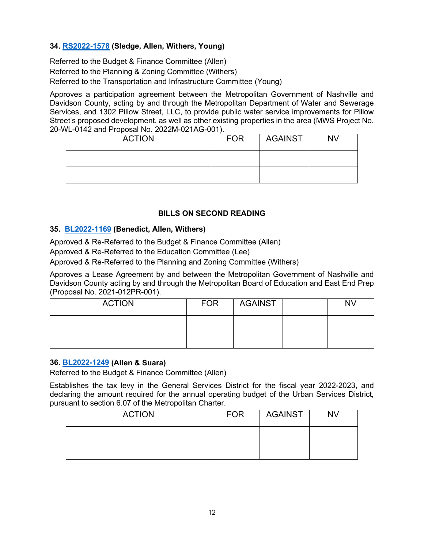# **34. [RS2022-1578](http://nashville.legistar.com/gateway.aspx?m=l&id=/matter.aspx?key=14598) (Sledge, Allen, Withers, Young)**

Referred to the Budget & Finance Committee (Allen) Referred to the Planning & Zoning Committee (Withers) Referred to the Transportation and Infrastructure Committee (Young)

Approves a participation agreement between the Metropolitan Government of Nashville and Davidson County, acting by and through the Metropolitan Department of Water and Sewerage Services, and 1302 Pillow Street, LLC, to provide public water service improvements for Pillow Street's proposed development, as well as other existing properties in the area (MWS Project No. 20-WL-0142 and Proposal No. 2022M-021AG-001).

| <b>ACTION</b> | <b>FOR</b> | <b>AGAINST</b> | <b>NV</b> |
|---------------|------------|----------------|-----------|
|               |            |                |           |
|               |            |                |           |

# **BILLS ON SECOND READING**

# **35. [BL2022-1169](http://nashville.legistar.com/gateway.aspx?m=l&id=/matter.aspx?key=14261) (Benedict, Allen, Withers)**

Approved & Re-Referred to the Budget & Finance Committee (Allen)

Approved & Re-Referred to the Education Committee (Lee)

Approved & Re-Referred to the Planning and Zoning Committee (Withers)

Approves a Lease Agreement by and between the Metropolitan Government of Nashville and Davidson County acting by and through the Metropolitan Board of Education and East End Prep (Proposal No. 2021-012PR-001).

| <b>ACTION</b> | <b>FOR</b> | <b>AGAINST</b> | NV |
|---------------|------------|----------------|----|
|               |            |                |    |
|               |            |                |    |

## **36. [BL2022-1249](http://nashville.legistar.com/gateway.aspx?m=l&id=/matter.aspx?key=14438) (Allen & Suara)**

Referred to the Budget & Finance Committee (Allen)

Establishes the tax levy in the General Services District for the fiscal year 2022-2023, and declaring the amount required for the annual operating budget of the Urban Services District, pursuant to section 6.07 of the Metropolitan Charter.

| <b>ACTION</b> | <b>FOR</b> | AGAINST | <b>NV</b> |
|---------------|------------|---------|-----------|
|               |            |         |           |
|               |            |         |           |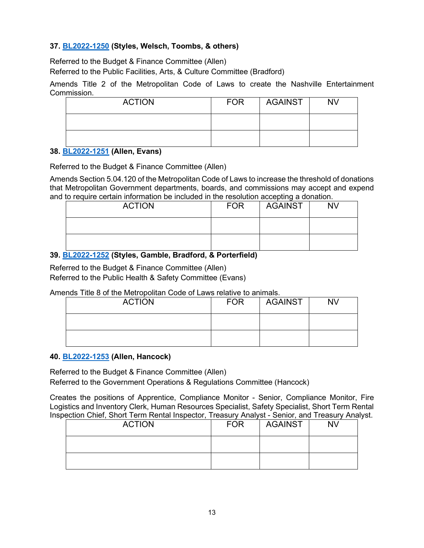# **37. [BL2022-1250](http://nashville.legistar.com/gateway.aspx?m=l&id=/matter.aspx?key=14483) (Styles, Welsch, Toombs, & others)**

Referred to the Budget & Finance Committee (Allen)

Referred to the Public Facilities, Arts, & Culture Committee (Bradford)

Amends Title 2 of the Metropolitan Code of Laws to create the Nashville Entertainment Commission.

| <b>ACTION</b> | <b>FOR</b> | <b>AGAINST</b> | <b>NV</b> |
|---------------|------------|----------------|-----------|
|               |            |                |           |
|               |            |                |           |

#### **38. [BL2022-1251](http://nashville.legistar.com/gateway.aspx?m=l&id=/matter.aspx?key=14484) (Allen, Evans)**

Referred to the Budget & Finance Committee (Allen)

Amends Section 5.04.120 of the Metropolitan Code of Laws to increase the threshold of donations that Metropolitan Government departments, boards, and commissions may accept and expend and to require certain information be included in the resolution accepting a donation.

| <b>ACTION</b> | <b>FOR</b> | <b>AGAINST</b> | <b>NV</b> |
|---------------|------------|----------------|-----------|
|               |            |                |           |
|               |            |                |           |

## **39. [BL2022-1252](http://nashville.legistar.com/gateway.aspx?m=l&id=/matter.aspx?key=14482) (Styles, Gamble, Bradford, & Porterfield)**

Referred to the Budget & Finance Committee (Allen) Referred to the Public Health & Safety Committee (Evans)

Amends Title 8 of the Metropolitan Code of Laws relative to animals.

| <b>ACTION</b> | <b>FOR</b> | <b>AGAINST</b> | <b>NV</b> |
|---------------|------------|----------------|-----------|
|               |            |                |           |
|               |            |                |           |

## **40. [BL2022-1253](http://nashville.legistar.com/gateway.aspx?m=l&id=/matter.aspx?key=14459) (Allen, Hancock)**

Referred to the Budget & Finance Committee (Allen)

Referred to the Government Operations & Regulations Committee (Hancock)

Creates the positions of Apprentice, Compliance Monitor - Senior, Compliance Monitor, Fire Logistics and Inventory Clerk, Human Resources Specialist, Safety Specialist, Short Term Rental Inspection Chief, Short Term Rental Inspector, Treasury Analyst - Senior, and Treasury Analyst.

| <b>ACTION</b> | <b>FOR</b> | <b>AGAINST</b> | NV |
|---------------|------------|----------------|----|
|               |            |                |    |
|               |            |                |    |